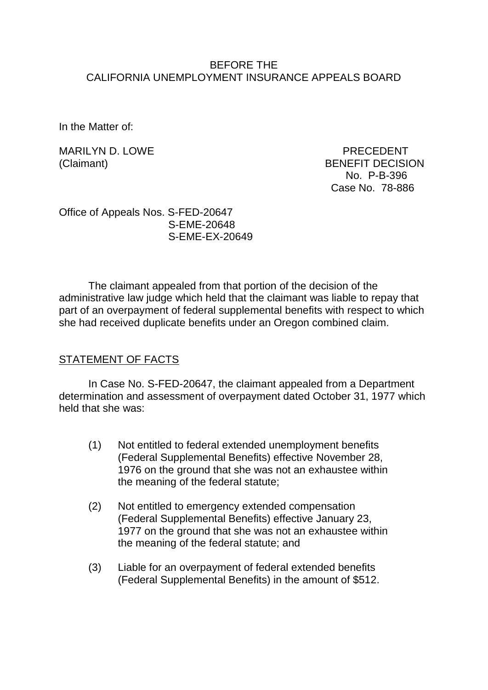#### BEFORE THE CALIFORNIA UNEMPLOYMENT INSURANCE APPEALS BOARD

In the Matter of:

MARILYN D. LOWE PRECEDENT

(Claimant) BENEFIT DECISION No. P-B-396 Case No. 78-886

Office of Appeals Nos. S-FED-20647 S-EME-20648 S-EME-EX-20649

The claimant appealed from that portion of the decision of the administrative law judge which held that the claimant was liable to repay that part of an overpayment of federal supplemental benefits with respect to which she had received duplicate benefits under an Oregon combined claim.

### STATEMENT OF FACTS

In Case No. S-FED-20647, the claimant appealed from a Department determination and assessment of overpayment dated October 31, 1977 which held that she was:

- (1) Not entitled to federal extended unemployment benefits (Federal Supplemental Benefits) effective November 28, 1976 on the ground that she was not an exhaustee within the meaning of the federal statute;
- (2) Not entitled to emergency extended compensation (Federal Supplemental Benefits) effective January 23, 1977 on the ground that she was not an exhaustee within the meaning of the federal statute; and
- (3) Liable for an overpayment of federal extended benefits (Federal Supplemental Benefits) in the amount of \$512.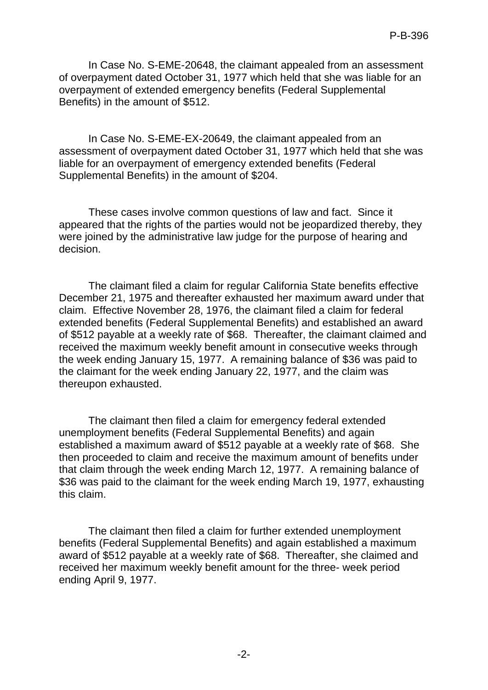In Case No. S-EME-20648, the claimant appealed from an assessment of overpayment dated October 31, 1977 which held that she was liable for an overpayment of extended emergency benefits (Federal Supplemental Benefits) in the amount of \$512.

In Case No. S-EME-EX-20649, the claimant appealed from an assessment of overpayment dated October 31, 1977 which held that she was liable for an overpayment of emergency extended benefits (Federal Supplemental Benefits) in the amount of \$204.

These cases involve common questions of law and fact. Since it appeared that the rights of the parties would not be jeopardized thereby, they were joined by the administrative law judge for the purpose of hearing and decision.

The claimant filed a claim for regular California State benefits effective December 21, 1975 and thereafter exhausted her maximum award under that claim. Effective November 28, 1976, the claimant filed a claim for federal extended benefits (Federal Supplemental Benefits) and established an award of \$512 payable at a weekly rate of \$68. Thereafter, the claimant claimed and received the maximum weekly benefit amount in consecutive weeks through the week ending January 15, 1977. A remaining balance of \$36 was paid to the claimant for the week ending January 22, 1977, and the claim was thereupon exhausted.

The claimant then filed a claim for emergency federal extended unemployment benefits (Federal Supplemental Benefits) and again established a maximum award of \$512 payable at a weekly rate of \$68. She then proceeded to claim and receive the maximum amount of benefits under that claim through the week ending March 12, 1977. A remaining balance of \$36 was paid to the claimant for the week ending March 19, 1977, exhausting this claim.

The claimant then filed a claim for further extended unemployment benefits (Federal Supplemental Benefits) and again established a maximum award of \$512 payable at a weekly rate of \$68. Thereafter, she claimed and received her maximum weekly benefit amount for the three- week period ending April 9, 1977.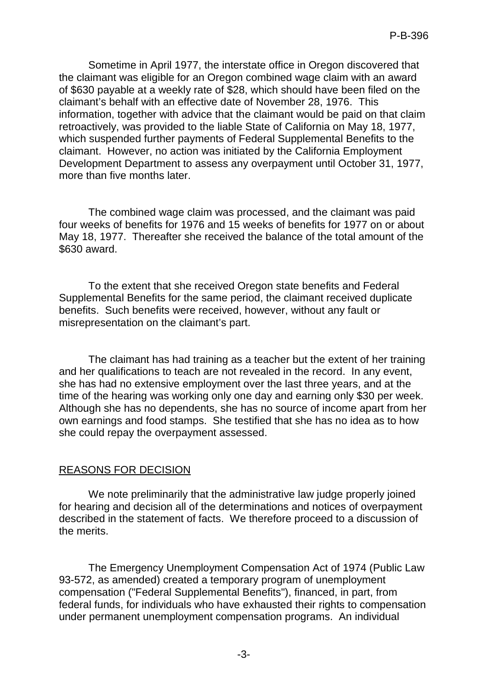Sometime in April 1977, the interstate office in Oregon discovered that the claimant was eligible for an Oregon combined wage claim with an award of \$630 payable at a weekly rate of \$28, which should have been filed on the claimant's behalf with an effective date of November 28, 1976. This information, together with advice that the claimant would be paid on that claim retroactively, was provided to the liable State of California on May 18, 1977, which suspended further payments of Federal Supplemental Benefits to the claimant. However, no action was initiated by the California Employment Development Department to assess any overpayment until October 31, 1977, more than five months later.

The combined wage claim was processed, and the claimant was paid four weeks of benefits for 1976 and 15 weeks of benefits for 1977 on or about May 18, 1977. Thereafter she received the balance of the total amount of the \$630 award.

To the extent that she received Oregon state benefits and Federal Supplemental Benefits for the same period, the claimant received duplicate benefits. Such benefits were received, however, without any fault or misrepresentation on the claimant's part.

The claimant has had training as a teacher but the extent of her training and her qualifications to teach are not revealed in the record. In any event, she has had no extensive employment over the last three years, and at the time of the hearing was working only one day and earning only \$30 per week. Although she has no dependents, she has no source of income apart from her own earnings and food stamps. She testified that she has no idea as to how she could repay the overpayment assessed.

# REASONS FOR DECISION

We note preliminarily that the administrative law judge properly joined for hearing and decision all of the determinations and notices of overpayment described in the statement of facts. We therefore proceed to a discussion of the merits.

The Emergency Unemployment Compensation Act of 1974 (Public Law 93-572, as amended) created a temporary program of unemployment compensation ("Federal Supplemental Benefits"), financed, in part, from federal funds, for individuals who have exhausted their rights to compensation under permanent unemployment compensation programs. An individual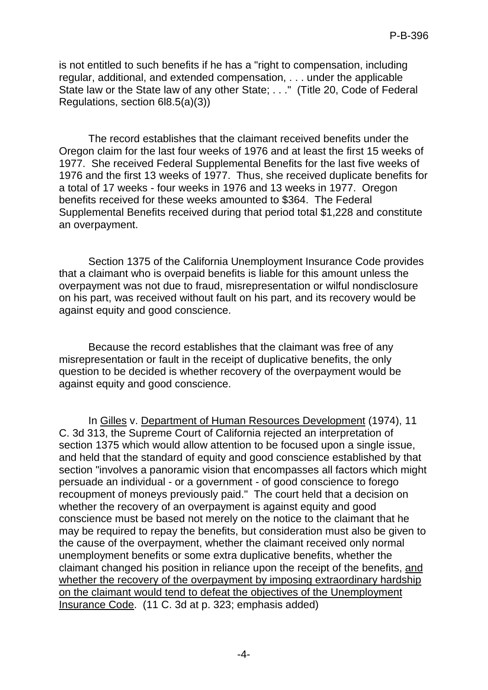is not entitled to such benefits if he has a "right to compensation, including regular, additional, and extended compensation, . . . under the applicable State law or the State law of any other State; . . ." (Title 20, Code of Federal Regulations, section 6l8.5(a)(3))

The record establishes that the claimant received benefits under the Oregon claim for the last four weeks of 1976 and at least the first 15 weeks of 1977. She received Federal Supplemental Benefits for the last five weeks of 1976 and the first 13 weeks of 1977. Thus, she received duplicate benefits for a total of 17 weeks - four weeks in 1976 and 13 weeks in 1977. Oregon benefits received for these weeks amounted to \$364. The Federal Supplemental Benefits received during that period total \$1,228 and constitute an overpayment.

Section 1375 of the California Unemployment Insurance Code provides that a claimant who is overpaid benefits is liable for this amount unless the overpayment was not due to fraud, misrepresentation or wilful nondisclosure on his part, was received without fault on his part, and its recovery would be against equity and good conscience.

Because the record establishes that the claimant was free of any misrepresentation or fault in the receipt of duplicative benefits, the only question to be decided is whether recovery of the overpayment would be against equity and good conscience.

In Gilles v. Department of Human Resources Development (1974), 11 C. 3d 313, the Supreme Court of California rejected an interpretation of section 1375 which would allow attention to be focused upon a single issue, and held that the standard of equity and good conscience established by that section "involves a panoramic vision that encompasses all factors which might persuade an individual - or a government - of good conscience to forego recoupment of moneys previously paid." The court held that a decision on whether the recovery of an overpayment is against equity and good conscience must be based not merely on the notice to the claimant that he may be required to repay the benefits, but consideration must also be given to the cause of the overpayment, whether the claimant received only normal unemployment benefits or some extra duplicative benefits, whether the claimant changed his position in reliance upon the receipt of the benefits, and whether the recovery of the overpayment by imposing extraordinary hardship on the claimant would tend to defeat the objectives of the Unemployment Insurance Code. (11 C. 3d at p. 323; emphasis added)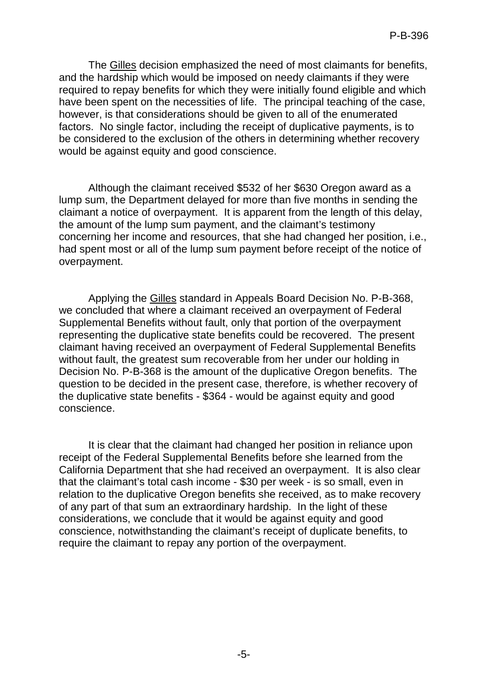The Gilles decision emphasized the need of most claimants for benefits, and the hardship which would be imposed on needy claimants if they were required to repay benefits for which they were initially found eligible and which have been spent on the necessities of life. The principal teaching of the case, however, is that considerations should be given to all of the enumerated factors. No single factor, including the receipt of duplicative payments, is to be considered to the exclusion of the others in determining whether recovery would be against equity and good conscience.

Although the claimant received \$532 of her \$630 Oregon award as a lump sum, the Department delayed for more than five months in sending the claimant a notice of overpayment. It is apparent from the length of this delay, the amount of the lump sum payment, and the claimant's testimony concerning her income and resources, that she had changed her position, i.e., had spent most or all of the lump sum payment before receipt of the notice of overpayment.

Applying the Gilles standard in Appeals Board Decision No. P-B-368, we concluded that where a claimant received an overpayment of Federal Supplemental Benefits without fault, only that portion of the overpayment representing the duplicative state benefits could be recovered. The present claimant having received an overpayment of Federal Supplemental Benefits without fault, the greatest sum recoverable from her under our holding in Decision No. P-B-368 is the amount of the duplicative Oregon benefits. The question to be decided in the present case, therefore, is whether recovery of the duplicative state benefits - \$364 - would be against equity and good conscience.

It is clear that the claimant had changed her position in reliance upon receipt of the Federal Supplemental Benefits before she learned from the California Department that she had received an overpayment. It is also clear that the claimant's total cash income - \$30 per week - is so small, even in relation to the duplicative Oregon benefits she received, as to make recovery of any part of that sum an extraordinary hardship. In the light of these considerations, we conclude that it would be against equity and good conscience, notwithstanding the claimant's receipt of duplicate benefits, to require the claimant to repay any portion of the overpayment.